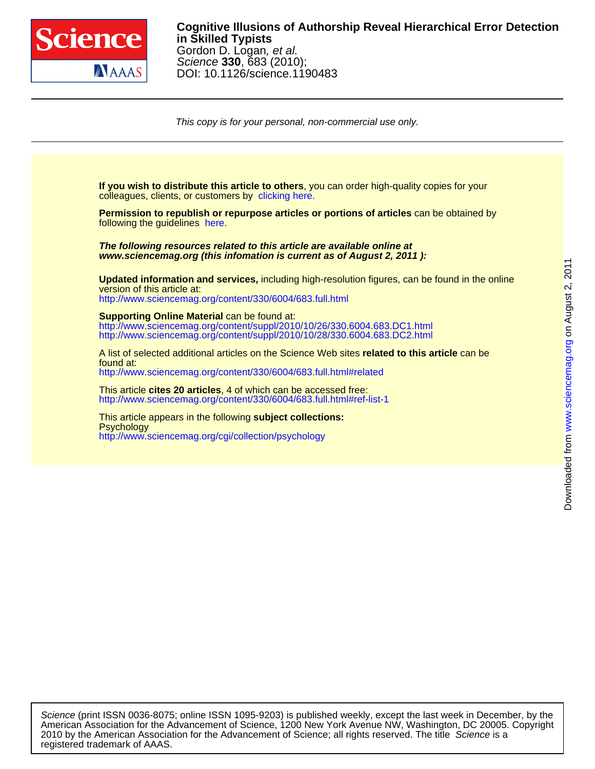

## DOI: 10.1126/science.1190483 Science **330**, 683 (2010); Gordon D. Logan, et al. **in Skilled Typists Cognitive Illusions of Authorship Reveal Hierarchical Error Detection**

This copy is for your personal, non-commercial use only.

colleagues, clients, or customers by [clicking here.](http://www.sciencemag.org/about/permissions.dtl) **If you wish to distribute this article to others**, you can order high-quality copies for your

following the guidelines [here.](http://www.sciencemag.org/about/permissions.dtl) **Permission to republish or repurpose articles or portions of articles** can be obtained by

**www.sciencemag.org (this infomation is current as of August 2, 2011 ): The following resources related to this article are available online at**

<http://www.sciencemag.org/content/330/6004/683.full.html> version of this article at: **Updated information and services,** including high-resolution figures, can be found in the online

http://www.sciencemag.org/content/suppl/2010/10/28/330.6004.683.DC2.html http://www.sciencemag.org/content/suppl/2010/10/26/330.6004.683.DC1.html **Supporting Online Material** can be found at:

<http://www.sciencemag.org/content/330/6004/683.full.html#related> found at: A list of selected additional articles on the Science Web sites **related to this article** can be

<http://www.sciencemag.org/content/330/6004/683.full.html#ref-list-1> This article **cites 20 articles**, 4 of which can be accessed free:

<http://www.sciencemag.org/cgi/collection/psychology> **Psychology** This article appears in the following **subject collections:**

registered trademark of AAAS. 2010 by the American Association for the Advancement of Science; all rights reserved. The title Science is a American Association for the Advancement of Science, 1200 New York Avenue NW, Washington, DC 20005. Copyright Science (print ISSN 0036-8075; online ISSN 1095-9203) is published weekly, except the last week in December, by the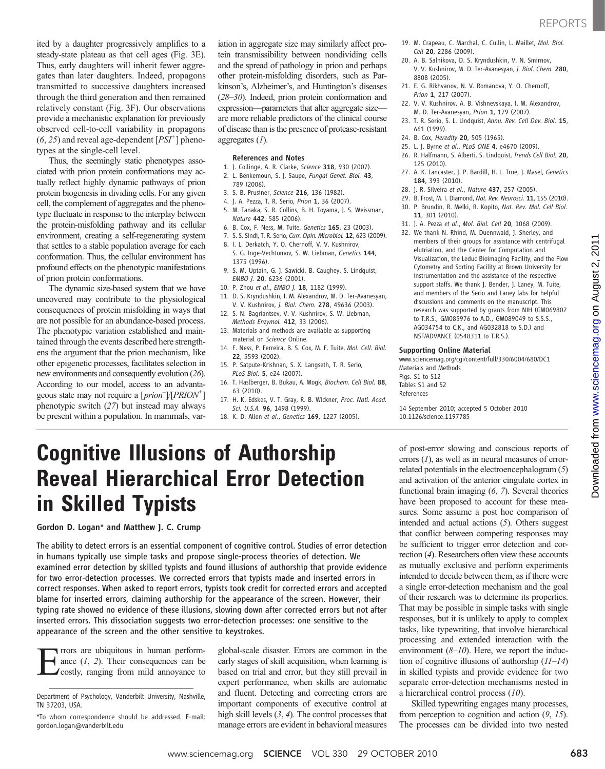ited by a daughter progressively amplifies to a steady-state plateau as that cell ages (Fig. 3E). Thus, early daughters will inherit fewer aggregates than later daughters. Indeed, propagons transmitted to successive daughters increased through the third generation and then remained relatively constant (Fig. 3F). Our observations provide a mechanistic explanation for previously observed cell-to-cell variability in propagons  $(6, 25)$  and reveal age-dependent [ $PSI^+$ ] phenotypes at the single-cell level.

Thus, the seemingly static phenotypes associated with prion protein conformations may actually reflect highly dynamic pathways of prion protein biogenesis in dividing cells. For any given cell, the complement of aggregates and the phenotype fluctuate in response to the interplay between the protein-misfolding pathway and its cellular environment, creating a self-regenerating system that settles to a stable population average for each conformation. Thus, the cellular environment has profound effects on the phenotypic manifestations of prion protein conformations.

The dynamic size-based system that we have uncovered may contribute to the physiological consequences of protein misfolding in ways that are not possible for an abundance-based process. The phenotypic variation established and maintained through the events described here strengthens the argument that the prion mechanism, like other epigenetic processes, facilitates selection in new environments and consequently evolution (26). According to our model, access to an advantageous state may not require a [prion<sup>-</sup>]/[PRION<sup>+</sup>] phenotypic switch (27) but instead may always be present within a population. In mammals, variation in aggregate size may similarly affect protein transmissibility between nondividing cells and the spread of pathology in prion and perhaps other protein-misfolding disorders, such as Parkinson's, Alzheimer's, and Huntington's diseases (28–30). Indeed, prion protein conformation and expression—parameters that alter aggregate size are more reliable predictors of the clinical course of disease than is the presence of protease-resistant aggregates (1).

#### References and Notes

- 1. J. Collinge, A. R. Clarke, Science 318, 930 (2007). 2. L. Benkemoun, S. J. Saupe, Fungal Genet. Biol. 43, 789 (2006).
- 3. S. B. Prusiner, Science 216, 136 (1982).
- 4. J. A. Pezza, T. R. Serio, Prion 1, 36 (2007).
- 5. M. Tanaka, S. R. Collins, B. H. Toyama, J. S. Weissman, Nature 442, 585 (2006).
- 6. B. Cox, F. Ness, M. Tuite, Genetics 165, 23 (2003).
- 7. S. S. Sindi, T. R. Serio, Curr. Opin. Microbiol. 12, 623 (2009). 8. I. L. Derkatch, Y. O. Chernoff, V. V. Kushnirov,
- S. G. Inge-Vechtomov, S. W. Liebman, Genetics 144, 1375 (1996).
- 9. S. M. Uptain, G. J. Sawicki, B. Caughey, S. Lindquist, EMBO J. 20, 6236 (2001).
- 10. P. Zhou et al., EMBO J. 18, 1182 (1999).
- 11. D. S. Kryndushkin, I. M. Alexandrov, M. D. Ter-Avanesyan, V. V. Kushnirov, J. Biol. Chem. 278, 49636 (2003).
- 12. S. N. Bagriantsev, V. V. Kushnirov, S. W. Liebman, Methods Enzymol. 412, 33 (2006).
- 13. Materials and methods are available as supporting material on Science Online.
- 14. F. Ness, P. Ferreira, B. S. Cox, M. F. Tuite, Mol. Cell. Biol. 22, 5593 (2002).
- 15. P. Satpute-Krishnan, S. X. Langseth, T. R. Serio, PLoS Biol. 5, e24 (2007).
- 16. T. Haslberger, B. Bukau, A. Mogk, Biochem. Cell Biol. 88, 63 (2010).
- 17. H. K. Edskes, V. T. Gray, R. B. Wickner, Proc. Natl. Acad. Sci. U.S.A. 96, 1498 (1999).
- 18. K. D. Allen et al., Genetics 169, 1227 (2005).
- 19. M. Crapeau, C. Marchal, C. Cullin, L. Maillet, Mol. Biol. Cell 20, 2286 (2009).
- 20. A. B. Salnikova, D. S. Kryndushkin, V. N. Smirnov, V. V. Kushnirov, M. D. Ter-Avanesyan, J. Biol. Chem. 280, 8808 (2005).
- 21. E. G. Rikhvanov, N. V. Romanova, Y. O. Chernoff, Prion 1, 217 (2007).
- 22. V. V. Kushnirov, A. B. Vishnevskaya, I. M. Alexandrov, M. D. Ter-Avanesyan, Prion 1, 179 (2007).
- 23. T. R. Serio, S. L. Lindquist, Annu. Rev. Cell Dev. Biol. 15, 661 (1999).
- 24. B. Cox, Heredity 20, 505 (1965).
- 25. L. J. Byrne et al., PLoS ONE 4, e4670 (2009).
- 26. R. Halfmann, S. Alberti, S. Lindquist, Trends Cell Biol. 20, 125 (2010).
- 27. A. K. Lancaster, J. P. Bardill, H. L. True, J. Masel, Genetics 184, 393 (2010).
- 28. J. R. Silveira et al., Nature 437, 257 (2005).
- 29. B. Frost, M. J. Diamond, Nat. Rev. Neurosci. 11, 155 (2010). 30. P. Brundin, R. Melki, R. Kopito, Nat. Rev. Mol. Cell Biol.
- 11, 301 (2010).
- 31. J. A. Pezza et al., Mol. Biol. Cell 20, 1068 (2009).
- 32. We thank N. Rhind, M. Duennwald, J. Sherley, and members of their groups for assistance with centrifugal elutriation, and the Center for Computation and Visualization, the Leduc Bioimaging Facility, and the Flow Cytometry and Sorting Facility at Brown University for instrumentation and the assistance of the respective support staffs. We thank J. Bender, J. Laney, M. Tuite, and members of the Serio and Laney labs for helpful discussions and comments on the manuscript. This research was supported by grants from NIH (GM069802 to T.R.S., GM085976 to A.D., GM089049 to S.S.S., AG034754 to C.K., and AG032818 to S.D.) and NSF/ADVANCE (0548311 to T.R.S.).

#### Supporting Online Material

www.sciencemag.org/cgi/content/full/330/6004/680/DC1 Materials and Methods Figs. S1 to S12

Tables S1 and S2 References

14 September 2010; accepted 5 October 2010 10.1126/science.1197785

# Cognitive Illusions of Authorship Reveal Hierarchical Error Detection in Skilled Typists

Gordon D. Logan\* and Matthew J. C. Crump

The ability to detect errors is an essential component of cognitive control. Studies of error detection in humans typically use simple tasks and propose single-process theories of detection. We examined error detection by skilled typists and found illusions of authorship that provide evidence for two error-detection processes. We corrected errors that typists made and inserted errors in correct responses. When asked to report errors, typists took credit for corrected errors and accepted blame for inserted errors, claiming authorship for the appearance of the screen. However, their typing rate showed no evidence of these illusions, slowing down after corrected errors but not after inserted errors. This dissociation suggests two error-detection processes: one sensitive to the appearance of the screen and the other sensitive to keystrokes.

Frors are ubiquitous in human perform-<br>ance (1, 2). Their consequences can be<br>costly, ranging from mild annoyance to ance (1, 2). Their consequences can be

Department of Psychology, Vanderbilt University, Nashville, TN 37203, USA.

global-scale disaster. Errors are common in the early stages of skill acquisition, when learning is based on trial and error, but they still prevail in expert performance, when skills are automatic and fluent. Detecting and correcting errors are important components of executive control at high skill levels  $(3, 4)$ . The control processes that manage errors are evident in behavioral measures of post-error slowing and conscious reports of errors  $(1)$ , as well as in neural measures of errorrelated potentials in the electroencephalogram  $(5)$ and activation of the anterior cingulate cortex in functional brain imaging (6, 7). Several theories have been proposed to account for these measures. Some assume a post hoc comparison of intended and actual actions (5). Others suggest that conflict between competing responses may be sufficient to trigger error detection and correction (4). Researchers often view these accounts as mutually exclusive and perform experiments intended to decide between them, as if there were a single error-detection mechanism and the goal of their research was to determine its properties. That may be possible in simple tasks with single responses, but it is unlikely to apply to complex tasks, like typewriting, that involve hierarchical processing and extended interaction with the environment  $(8-10)$ . Here, we report the induction of cognitive illusions of authorship  $(11-14)$ in skilled typists and provide evidence for two separate error-detection mechanisms nested in a hierarchical control process (10).

Skilled typewriting engages many processes, from perception to cognition and action  $(9, 15)$ . The processes can be divided into two nested

<sup>\*</sup>To whom correspondence should be addressed. E-mail: gordon.logan@vanderbilt.edu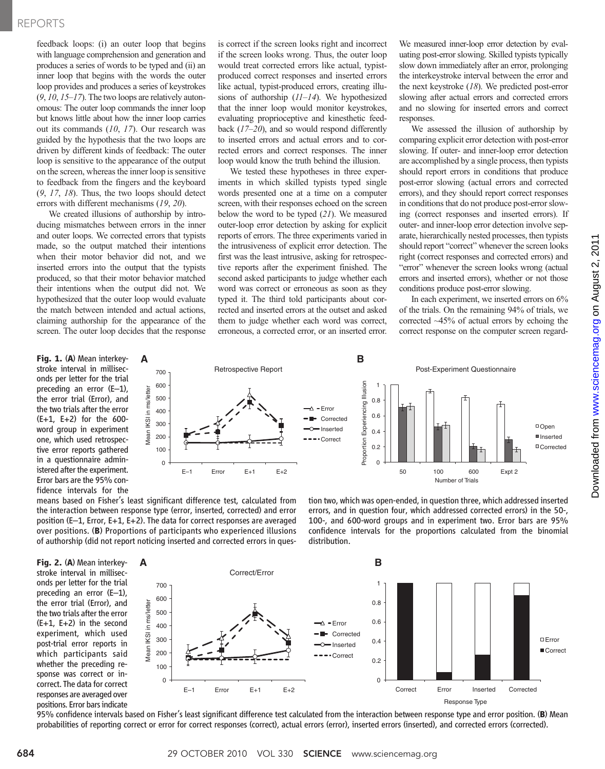## REPORTS

feedback loops: (i) an outer loop that begins with language comprehension and generation and produces a series of words to be typed and (ii) an inner loop that begins with the words the outer loop provides and produces a series of keystrokes  $(9, 10, 15-17)$ . The two loops are relatively autonomous: The outer loop commands the inner loop but knows little about how the inner loop carries out its commands  $(10, 17)$ . Our research was guided by the hypothesis that the two loops are driven by different kinds of feedback: The outer loop is sensitive to the appearance of the output on the screen, whereas the inner loop is sensitive to feedback from the fingers and the keyboard (9, 17, 18). Thus, the two loops should detect errors with different mechanisms (19, 20).

We created illusions of authorship by introducing mismatches between errors in the inner and outer loops. We corrected errors that typists made, so the output matched their intentions when their motor behavior did not, and we inserted errors into the output that the typists produced, so that their motor behavior matched their intentions when the output did not. We hypothesized that the outer loop would evaluate the match between intended and actual actions, claiming authorship for the appearance of the screen. The outer loop decides that the response

Fig. 1. (A) Mean interkeystroke interval in milliseconds per letter for the trial preceding an error (E–1), the error trial (Error), and the two trials after the error (E+1, E+2) for the 600 word group in experiment one, which used retrospective error reports gathered in a questionnaire administered after the experiment. Error bars are the 95% confidence intervals for the

Fig. 2. (A) Mean interkeystroke interval in milliseconds per letter for the trial preceding an error (E–1), the error trial (Error), and the two trials after the error (E+1, E+2) in the second experiment, which used post-trial error reports in which participants said whether the preceding response was correct or incorrect. The data for correct responses are averaged over positions. Error bars indicate is correct if the screen looks right and incorrect if the screen looks wrong. Thus, the outer loop would treat corrected errors like actual, typistproduced correct responses and inserted errors like actual, typist-produced errors, creating illusions of authorship  $(11-14)$ . We hypothesized that the inner loop would monitor keystrokes, evaluating proprioceptive and kinesthetic feedback  $(17–20)$ , and so would respond differently to inserted errors and actual errors and to corrected errors and correct responses. The inner loop would know the truth behind the illusion.

We tested these hypotheses in three experiments in which skilled typists typed single words presented one at a time on a computer screen, with their responses echoed on the screen below the word to be typed  $(21)$ . We measured outer-loop error detection by asking for explicit reports of errors. The three experiments varied in the intrusiveness of explicit error detection. The first was the least intrusive, asking for retrospective reports after the experiment finished. The second asked participants to judge whether each word was correct or erroneous as soon as they typed it. The third told participants about corrected and inserted errors at the outset and asked them to judge whether each word was correct, erroneous, a corrected error, or an inserted error. We measured inner-loop error detection by evaluating post-error slowing. Skilled typists typically slow down immediately after an error, prolonging the interkeystroke interval between the error and the next keystroke (18). We predicted post-error slowing after actual errors and corrected errors and no slowing for inserted errors and correct responses.

We assessed the illusion of authorship by comparing explicit error detection with post-error slowing. If outer- and inner-loop error detection are accomplished by a single process, then typists should report errors in conditions that produce post-error slowing (actual errors and corrected errors), and they should report correct responses in conditions that do not produce post-error slowing (correct responses and inserted errors). If outer- and inner-loop error detection involve separate, hierarchically nested processes, then typists should report "correct" whenever the screen looks right (correct responses and corrected errors) and "error" whenever the screen looks wrong (actual errors and inserted errors), whether or not those conditions produce post-error slowing.

In each experiment, we inserted errors on 6% of the trials. On the remaining 94% of trials, we corrected ~45% of actual errors by echoing the correct response on the computer screen regard-



2011

means based on Fisher's least significant difference test, calculated from the interaction between response type (error, inserted, corrected) and error position (E–1, Error, E+1, E+2). The data for correct responses are averaged over positions. (B) Proportions of participants who experienced illusions of authorship (did not report noticing inserted and corrected errors in question two, which was open-ended, in question three, which addressed inserted errors, and in question four, which addressed corrected errors) in the 50-, 100-, and 600-word groups and in experiment two. Error bars are 95% confidence intervals for the proportions calculated from the binomial distribution.



95% confidence intervals based on Fisher's least significant difference test calculated from the interaction between response type and error position. (B) Mean probabilities of reporting correct or error for correct responses (correct), actual errors (error), inserted errors (inserted), and corrected errors (corrected).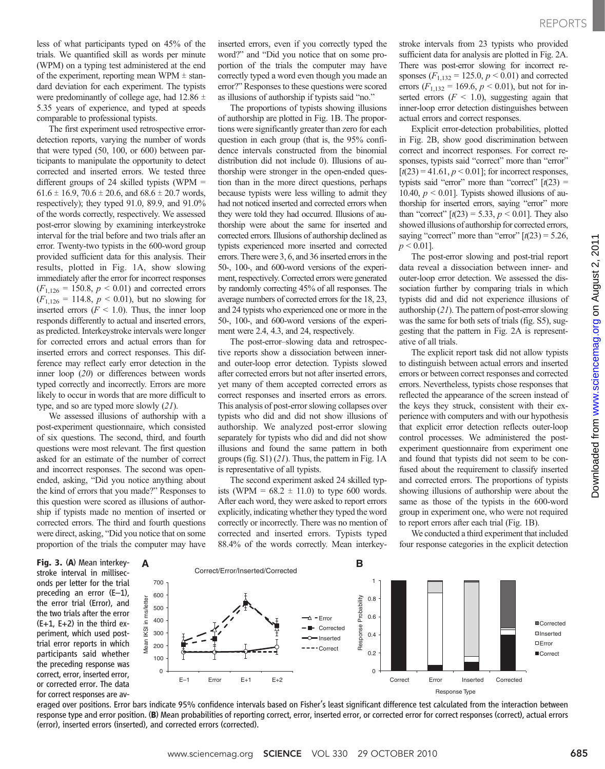less of what participants typed on 45% of the trials. We quantified skill as words per minute (WPM) on a typing test administered at the end of the experiment, reporting mean WPM  $\pm$  standard deviation for each experiment. The typists were predominantly of college age, had  $12.86 \pm$ 5.35 years of experience, and typed at speeds comparable to professional typists.

The first experiment used retrospective errordetection reports, varying the number of words that were typed (50, 100, or 600) between participants to manipulate the opportunity to detect corrected and inserted errors. We tested three different groups of 24 skilled typists (WPM  $=$  $61.6 \pm 16.9$ ,  $70.6 \pm 20.6$ , and  $68.6 \pm 20.7$  words, respectively); they typed 91.0, 89.9, and 91.0% of the words correctly, respectively. We assessed post-error slowing by examining interkeystroke interval for the trial before and two trials after an error. Twenty-two typists in the 600-word group provided sufficient data for this analysis. Their results, plotted in Fig. 1A, show slowing immediately after the error for incorrect responses  $(F_{1,126} = 150.8, p \le 0.01)$  and corrected errors  $(F_{1,126} = 114.8, p \le 0.01)$ , but no slowing for inserted errors ( $F < 1.0$ ). Thus, the inner loop responds differently to actual and inserted errors, as predicted. Interkeystroke intervals were longer for corrected errors and actual errors than for inserted errors and correct responses. This difference may reflect early error detection in the inner loop (20) or differences between words typed correctly and incorrectly. Errors are more likely to occur in words that are more difficult to type, and so are typed more slowly (21).

We assessed illusions of authorship with a post-experiment questionnaire, which consisted of six questions. The second, third, and fourth questions were most relevant. The first question asked for an estimate of the number of correct and incorrect responses. The second was openended, asking, "Did you notice anything about the kind of errors that you made?" Responses to this question were scored as illusions of authorship if typists made no mention of inserted or corrected errors. The third and fourth questions were direct, asking, "Did you notice that on some proportion of the trials the computer may have

Fig. 3. (A) Mean interkeystroke interval in milliseconds per letter for the trial preceding an error (E–1), the error trial (Error), and the two trials after the error (E+1, E+2) in the third experiment, which used posttrial error reports in which participants said whether the preceding response was correct, error, inserted error, or corrected error. The data for correct responses are avinserted errors, even if you correctly typed the word?" and "Did you notice that on some proportion of the trials the computer may have correctly typed a word even though you made an error?" Responses to these questions were scored as illusions of authorship if typists said "no."

The proportions of typists showing illusions of authorship are plotted in Fig. 1B. The proportions were significantly greater than zero for each question in each group (that is, the 95% confidence intervals constructed from the binomial distribution did not include 0). Illusions of authorship were stronger in the open-ended question than in the more direct questions, perhaps because typists were less willing to admit they had not noticed inserted and corrected errors when they were told they had occurred. Illusions of authorship were about the same for inserted and corrected errors. Illusions of authorship declined as typists experienced more inserted and corrected errors. There were 3, 6, and 36 inserted errors in the 50-, 100-, and 600-word versions of the experiment, respectively. Corrected errors were generated by randomly correcting 45% of all responses. The average numbers of corrected errors for the 18, 23, and 24 typists who experienced one or more in the 50-, 100-, and 600-word versions of the experiment were 2.4, 4.3, and 24, respectively.

The post-error–slowing data and retrospective reports show a dissociation between innerand outer-loop error detection. Typists slowed after corrected errors but not after inserted errors, yet many of them accepted corrected errors as correct responses and inserted errors as errors. This analysis of post-error slowing collapses over typists who did and did not show illusions of authorship. We analyzed post-error slowing separately for typists who did and did not show illusions and found the same pattern in both groups (fig.  $S1$ ) (21). Thus, the pattern in Fig. 1A is representative of all typists.

The second experiment asked 24 skilled typists (WPM =  $68.2 \pm 11.0$ ) to type 600 words. After each word, they were asked to report errors explicitly, indicating whether they typed the word correctly or incorrectly. There was no mention of corrected and inserted errors. Typists typed 88.4% of the words correctly. Mean interkeystroke intervals from 23 typists who provided sufficient data for analysis are plotted in Fig. 2A. There was post-error slowing for incorrect responses  $(F_{1,132} = 125.0, p \le 0.01)$  and corrected errors ( $F_{1,132} = 169.6$ ,  $p < 0.01$ ), but not for inserted errors  $(F < 1.0)$ , suggesting again that inner-loop error detection distinguishes between actual errors and correct responses.

Explicit error-detection probabilities, plotted in Fig. 2B, show good discrimination between correct and incorrect responses. For correct responses, typists said "correct" more than "error"  $[t(23) = 41.61, p < 0.01]$ ; for incorrect responses, typists said "error" more than "correct"  $[t(23) =$ 10.40,  $p < 0.01$ ]. Typists showed illusions of authorship for inserted errors, saying "error" more than "correct"  $[t(23) = 5.33, p < 0.01]$ . They also showed illusions of authorship for corrected errors, saying "correct" more than "error"  $[t(23) = 5.26]$ ,  $p \le 0.01$ ].

The post-error slowing and post-trial report data reveal a dissociation between inner- and outer-loop error detection. We assessed the dissociation further by comparing trials in which typists did and did not experience illusions of authorship (21). The pattern of post-error slowing was the same for both sets of trials (fig. S5), suggesting that the pattern in Fig. 2A is representative of all trials.

The explicit report task did not allow typists to distinguish between actual errors and inserted errors or between correct responses and corrected errors. Nevertheless, typists chose responses that reflected the appearance of the screen instead of the keys they struck, consistent with their experience with computers and with our hypothesis that explicit error detection reflects outer-loop control processes. We administered the postexperiment questionnaire from experiment one and found that typists did not seem to be confused about the requirement to classify inserted and corrected errors. The proportions of typists showing illusions of authorship were about the same as those of the typists in the 600-word group in experiment one, who were not required to report errors after each trial (Fig. 1B).

We conducted a third experiment that included four response categories in the explicit detection



eraged over positions. Error bars indicate 95% confidence intervals based on Fisher's least significant difference test calculated from the interaction between response type and error position. (B) Mean probabilities of reporting correct, error, inserted error, or corrected error for correct responses (correct), actual errors (error), inserted errors (inserted), and corrected errors (corrected).

2011